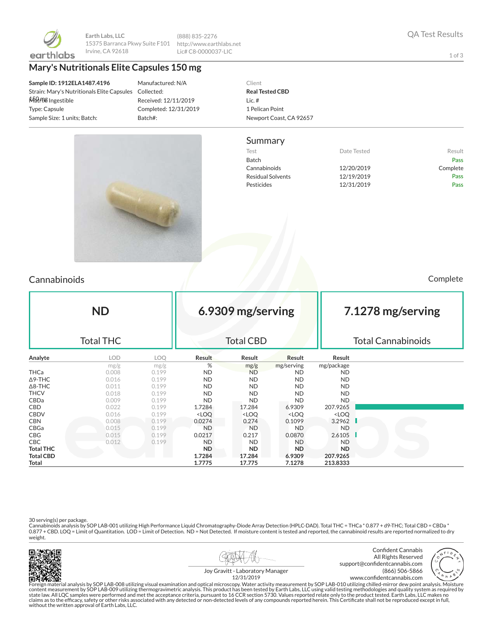

**Earth Labs, LLC** 15375 Barranca Pkwy Suite F101 Irvine, CA 92618

(888) 835-2276 http://www.earthlabs.net Lic# C8-0000037-LIC

#### **Mary's Nutritionals Elite Capsules 150 mg**

**Sample ID: 1912ELA1487.4196** Strain: Mary's Nutritionals Elite Capsules Matrix: Ingestible Type: Capsule Sample Size: 1 units; Batch:

Manufactured: N/A Collected: Received: 12/11/2019 Completed: 12/31/2019 Batch#:

#### Client **Real Tested CBD** Lic. # 1 Pelican Point Newport Coast, CA 92657

Test **Test Result** Date Tested **Result** Batch Pass Cannabinoids 12/20/2019 Complete Residual Solvents **12/19/2019** Pass Pesticides 212/31/2019 Pass

Summary

# Cannabinoids Complete

| <b>ND</b><br><b>Total THC</b> |            |       |                                                                                                                   | 6.9309 mg/serving<br><b>Total CBD</b> |                                                          |                              | 7.1278 mg/serving<br><b>Total Cannabinoids</b> |  |  |
|-------------------------------|------------|-------|-------------------------------------------------------------------------------------------------------------------|---------------------------------------|----------------------------------------------------------|------------------------------|------------------------------------------------|--|--|
| Analyte                       | <b>LOD</b> | LOQ.  | Result                                                                                                            | Result                                | Result                                                   | Result                       |                                                |  |  |
|                               | mg/g       | mg/g  | %                                                                                                                 | mg/g                                  | mg/serving                                               | mg/package                   |                                                |  |  |
| THCa                          | 0.008      | 0.199 | <b>ND</b>                                                                                                         | <b>ND</b>                             | <b>ND</b>                                                | ND                           |                                                |  |  |
| ∆9-THC                        | 0.016      | 0.199 | ND.                                                                                                               | ND.                                   | ND.                                                      | ND.                          |                                                |  |  |
| $\Delta$ 8-THC                | 0.011      | 0.199 | ND.                                                                                                               | ND.                                   | ND.                                                      | ND.                          |                                                |  |  |
| THCV                          | 0.018      | 0.199 | <b>ND</b>                                                                                                         | ND.                                   | <b>ND</b>                                                | ND.                          |                                                |  |  |
| CBDa                          | 0.009      | 0.199 | <b>ND</b>                                                                                                         | ND.                                   | <b>ND</b>                                                | <b>ND</b>                    |                                                |  |  |
| CBD                           | 0.022      | 0.199 | 1.7284                                                                                                            | 17.284                                | 6.9309                                                   | 207.9265                     |                                                |  |  |
| CBDV                          | 0.016      | 0.199 | <loq< th=""><th><math>&lt;</math>LOQ</th><th><loq< th=""><th><loq< th=""><th></th></loq<></th></loq<></th></loq<> | $<$ LOQ                               | <loq< th=""><th><loq< th=""><th></th></loq<></th></loq<> | <loq< th=""><th></th></loq<> |                                                |  |  |
| CBN                           | 0.008      | 0.199 | 0.0274                                                                                                            | 0.274                                 | 0.1099                                                   | 3.2962                       | a ka                                           |  |  |
| CBGa                          | 0.015      | 0.199 | ND.                                                                                                               | N <sub>D</sub>                        | <b>ND</b>                                                | <b>ND</b>                    |                                                |  |  |
| CBG                           | 0.015      | 0.199 | 0.0217                                                                                                            | 0.217                                 | 0.0870                                                   | 2.6105                       |                                                |  |  |
| CBC.                          | 0.012      | 0.199 | <b>ND</b>                                                                                                         | <b>ND</b>                             | <b>ND</b>                                                | <b>ND</b>                    |                                                |  |  |
| <b>Total THC</b>              |            |       | ND.                                                                                                               | ND.                                   | <b>ND</b>                                                | ND.                          |                                                |  |  |

30 serving(s) per package.<br>Cannabinoids analysis by SOP LAB-001 utilizing High Performance Liquid Chromatography-Diode Array Detection (HPLC-DAD). Total THC = THCa \* 0.877 + d9-THC; Total CBD = CBDa \*<br>0.877 + CBD. LOQ = Li weight.

**Total CBD 1.7284 17.284 6.9309 207.9265 Total 1.7775 17.775 7.1278 213.8333**





Confident Cannabis All Rights Reserved support@confidentcannabis.com (866) 506-5866 www.confidentcannabis.com



Joy Gravitt - Laboratory Manager 12/31/2019

Foreign material analysis by SOP LAB-008 utilizing visual examination and optical microscopy. Water activity measurement by SOP LAB-010 utilizing chilled-mirror dew point analysis. Moisture<br>state law. All LQC samples were without the written approval of Earth Labs, LLC.

1 of 3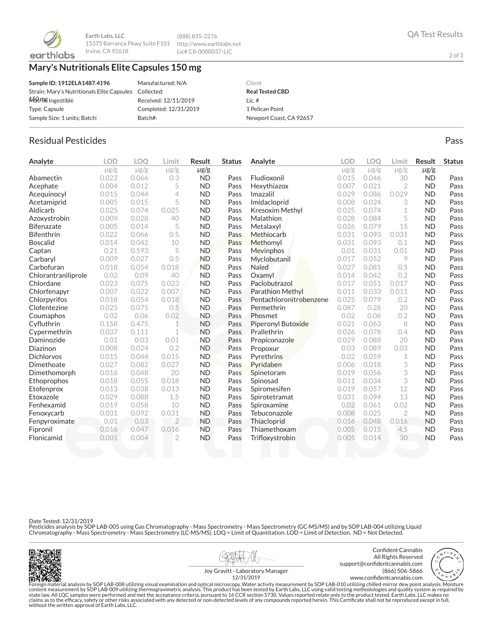

**Earth Labs, LLC** 15375 Barranca Pkwy Suite F101 http://www.earthlabs.net Irvine, CA 92618

(888) 835-2276 Lic# C8-0000037-LIC

# **Mary's Nutritionals Elite Capsules 150 mg**

| Sample ID: 1912ELA1487.4196                           | Manufactured: N/A     | Client                  |
|-------------------------------------------------------|-----------------------|-------------------------|
| Strain: Mary's Nutritionals Elite Capsules Collected: |                       | <b>Real Tested CBD</b>  |
| Matrix Ingestible                                     | Received: 12/11/2019  | Lic. $#$                |
| Type: Capsule                                         | Completed: 12/31/2019 | 1 Pelican Point         |
| Sample Size: 1 units: Batch:                          | Batch#:               | Newport Coast, CA 92657 |

### Residual Pesticides Pass and the extensive part of the extensive part of the extensive pass and the extensive pass

| Analyte             | <b>LOD</b> | <b>LOO</b> | Limit          | <b>Result</b> | <b>Status</b> | Analyte                 | LOD       | <b>LOO</b> | Limit          | <b>Result</b> | <b>Status</b> |
|---------------------|------------|------------|----------------|---------------|---------------|-------------------------|-----------|------------|----------------|---------------|---------------|
|                     | $\mu$ g/g  | $\mu$ g/g  | $\mu$ g/g      | $\mu$ g/g     |               |                         | $\mu$ g/g | $\mu$ g/g  | $\mu$ g/g      | $\mu$ g/g     |               |
| Abamectin           | 0.022      | 0.066      | 0.3            | <b>ND</b>     | Pass          | Fludioxonil             | 0.015     | 0.046      | 30             | <b>ND</b>     | Pass          |
| Acephate            | 0.004      | 0.012      | 5              | <b>ND</b>     | Pass          | Hexythiazox             | 0.007     | 0.021      | $\overline{2}$ | <b>ND</b>     | Pass          |
| Acequinocyl         | 0.015      | 0.044      | 4              | <b>ND</b>     | Pass          | Imazalil                | 0.029     | 0.086      | 0.029          | <b>ND</b>     | Pass          |
| Acetamiprid         | 0.005      | 0.015      | 5              | <b>ND</b>     | Pass          | Imidacloprid            | 0.008     | 0.024      | 3              | <b>ND</b>     | Pass          |
| Aldicarb            | 0.025      | 0.074      | 0.025          | <b>ND</b>     | Pass          | <b>Kresoxim Methyl</b>  | 0.025     | 0.074      | 1              | <b>ND</b>     | Pass          |
| Azoxystrobin        | 0.009      | 0.028      | 40             | <b>ND</b>     | Pass          | Malathion               | 0.028     | 0.084      | 5              | <b>ND</b>     | Pass          |
| <b>Bifenazate</b>   | 0.005      | 0.014      | 5              | <b>ND</b>     | Pass          | Metalaxyl               | 0.026     | 0.079      | 15             | <b>ND</b>     | Pass          |
| <b>Bifenthrin</b>   | 0.022      | 0.066      | 0.5            | <b>ND</b>     | Pass          | Methiocarb              | 0.031     | 0.093      | 0.031          | <b>ND</b>     | Pass          |
| <b>Boscalid</b>     | 0.014      | 0.042      | 10             | <b>ND</b>     | Pass          | Methomyl                | 0.031     | 0.093      | 0.1            | <b>ND</b>     | Pass          |
| Captan              | 0.21       | 0.593      | 5              | <b>ND</b>     | Pass          | Mevinphos               | 0.01      | 0.031      | 0.01           | <b>ND</b>     | Pass          |
| Carbaryl            | 0.009      | 0.027      | 0.5            | <b>ND</b>     | Pass          | Myclobutanil            | 0.017     | 0.052      | 9              | <b>ND</b>     | Pass          |
| Carbofuran          | 0.018      | 0.054      | 0.018          | <b>ND</b>     | Pass          | <b>Naled</b>            | 0.027     | 0.081      | 0.5            | <b>ND</b>     | Pass          |
| Chlorantraniliprole | 0.03       | 0.09       | 40             | <b>ND</b>     | Pass          | Oxamyl                  | 0.014     | 0.042      | 0.2            | <b>ND</b>     | Pass          |
| Chlordane           | 0.023      | 0.075      | 0.023          | <b>ND</b>     | Pass          | Paclobutrazol           | 0.017     | 0.051      | 0.017          | <b>ND</b>     | Pass          |
| Chlorfenapyr        | 0.007      | 0.022      | 0.007          | <b>ND</b>     | Pass          | <b>Parathion Methyl</b> | 0.011     | 0.033      | 0.011          | <b>ND</b>     | Pass          |
| Chlorpyrifos        | 0.018      | 0.054      | 0.018          | <b>ND</b>     | Pass          | Pentachloronitrobenzene | 0.025     | 0.079      | 0.2            | <b>ND</b>     | Pass          |
| Clofentezine        | 0.025      | 0.075      | 0.5            | <b>ND</b>     | Pass          | Permethrin              | 0.087     | 0.26       | 20             | <b>ND</b>     | Pass          |
| Coumaphos           | 0.02       | 0.06       | 0.02           | <b>ND</b>     | Pass          | Phosmet                 | 0.02      | 0.06       | 0.2            | <b>ND</b>     | Pass          |
| Cyfluthrin          | 0.158      | 0.475      | 1              | <b>ND</b>     | Pass          | Piperonyl Butoxide      | 0.021     | 0.063      | 8              | <b>ND</b>     | Pass          |
| Cypermethrin        | 0.037      | 0.111      | 1              | <b>ND</b>     | Pass          | Prallethrin             | 0.026     | 0.078      | 0.4            | <b>ND</b>     | Pass          |
| Daminozide          | 0.01       | 0.03       | 0.01           | <b>ND</b>     | Pass          | Propiconazole           | 0.029     | 0.088      | 20             | <b>ND</b>     | Pass          |
| Diazinon            | 0.008      | 0.024      | 0.2            | <b>ND</b>     | Pass          | Propoxur                | 0.03      | 0.089      | 0.03           | <b>ND</b>     | Pass          |
| <b>Dichlorvos</b>   | 0.015      | 0.044      | 0.015          | <b>ND</b>     | Pass          | Pyrethrins              | 0.02      | 0.059      | 1              | <b>ND</b>     | Pass          |
| Dimethoate          | 0.027      | 0.082      | 0.027          | <b>ND</b>     | Pass          | Pyridaben               | 0.006     | 0.018      | 3              | <b>ND</b>     | Pass          |
| Dimethomorph        | 0.016      | 0.048      | 20             | <b>ND</b>     | Pass          | Spinetoram              | 0.019     | 0.056      | 3              | <b>ND</b>     | Pass          |
| Ethoprophos         | 0.018      | 0.055      | 0.018          | <b>ND</b>     | Pass          | Spinosad                | 0.011     | 0.034      | 3              | <b>ND</b>     | Pass          |
| Etofenprox          | 0.013      | 0.038      | 0.013          | <b>ND</b>     | Pass          | Spiromesifen            | 0.019     | 0.057      | 12             | <b>ND</b>     | Pass          |
| Etoxazole           | 0.029      | 0.088      | 1.5            | <b>ND</b>     | Pass          | Spirotetramat           | 0.031     | 0.094      | 13             | <b>ND</b>     | Pass          |
| Fenhexamid          | 0.019      | 0.058      | 10             | <b>ND</b>     | Pass          | Spiroxamine             | 0.02      | 0.061      | 0.02           | <b>ND</b>     | Pass          |
| Fenoxycarb          | 0.031      | 0.092      | 0.031          | <b>ND</b>     | Pass          | Tebuconazole            | 0.008     | 0.025      | $\overline{2}$ | <b>ND</b>     | Pass          |
| Fenpyroximate       | 0.01       | 0.03       | $\overline{2}$ | <b>ND</b>     | Pass          | Thiacloprid             | 0.016     | 0.048      | 0.016          | <b>ND</b>     | Pass          |
| Fipronil            | 0.016      | 0.047      | 0.016          | <b>ND</b>     | Pass          | Thiamethoxam            | 0.005     | 0.015      | 4.5            | <b>ND</b>     | Pass          |
| Flonicamid          | 0.001      | 0.004      | $\overline{2}$ | <b>ND</b>     | Pass          | Trifloxystrobin         | 0.005     | 0.014      | 30             | <b>ND</b>     | Pass          |
|                     |            |            |                |               |               |                         |           |            |                |               |               |

Date Tested: 12/31/2019

Pesticides analysis by SOP LAB-005 using Gas Chromatography - Mass Spectrometry - Mass Spectrometry (GC-MS/MS) and by SOP LAB-004 utilizing Liquid<br>Chromatography - Mass Spectrometry - Mass Spectrometry (LC-MS/MS). LOQ = Li



《K



2 of 3

www.confidentcannabis.com



Joy Gravitt - Laboratory Manager 12/31/2019

Foreign material analysis by SOP LAB-008 utilizing visual examination and optical microscopy. Water activity measurement by SOP LAB-010 utilizing chilled-mirror dew point analysis. Moisture<br>state law. All LQC samples were without the written approval of Earth Labs, LLC.